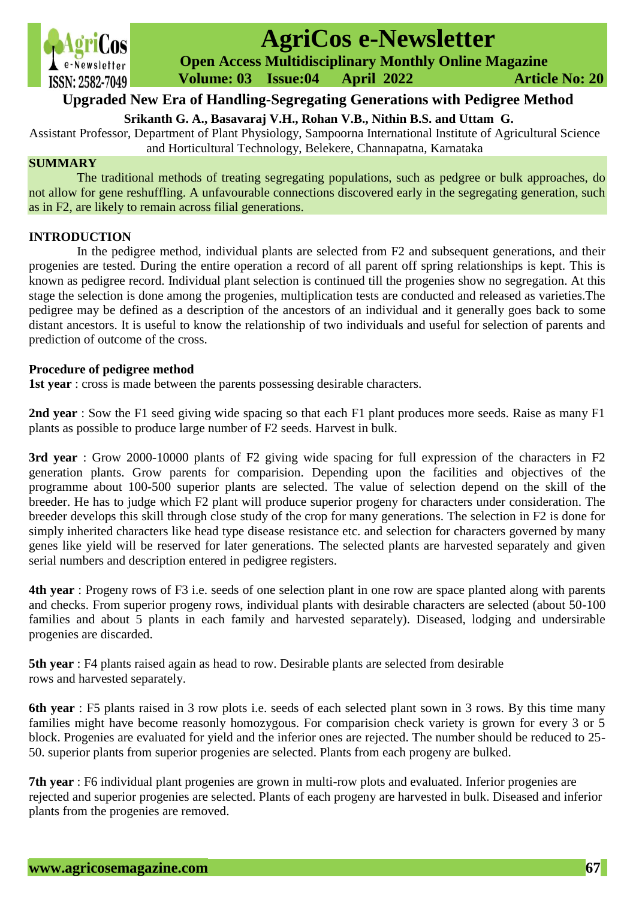

# **AgriCos e-Newsletter**

 **Open Access Multidisciplinary Monthly Online Magazine**

 **Volume: 03 Issue:04 April 2022 Article No: 20**

# **Upgraded New Era of Handling-Segregating Generations with Pedigree Method**

**Srikanth G. A., Basavaraj V.H., Rohan V.B., Nithin B.S. and Uttam G.**

Assistant Professor, Department of Plant Physiology, Sampoorna International Institute of Agricultural Science and Horticultural Technology, Belekere, Channapatna, Karnataka

## **SUMMARY**

The traditional methods of treating segregating populations, such as pedgree or bulk approaches, do not allow for gene reshuffling. A unfavourable connections discovered early in the segregating generation, such as in F2, are likely to remain across filial generations.

# **INTRODUCTION**

In the pedigree method, individual plants are selected from F2 and subsequent generations, and their progenies are tested. During the entire operation a record of all parent off spring relationships is kept. This is known as pedigree record. Individual plant selection is continued till the progenies show no segregation. At this stage the selection is done among the progenies, multiplication tests are conducted and released as varieties.The pedigree may be defined as a description of the ancestors of an individual and it generally goes back to some distant ancestors. It is useful to know the relationship of two individuals and useful for selection of parents and prediction of outcome of the cross.

#### **Procedure of pedigree method**

**1st year** : cross is made between the parents possessing desirable characters.

**2nd year** : Sow the F1 seed giving wide spacing so that each F1 plant produces more seeds. Raise as many F1 plants as possible to produce large number of F2 seeds. Harvest in bulk.

**3rd year** : Grow 2000-10000 plants of F2 giving wide spacing for full expression of the characters in F2 generation plants. Grow parents for comparision. Depending upon the facilities and objectives of the programme about 100-500 superior plants are selected. The value of selection depend on the skill of the breeder. He has to judge which F2 plant will produce superior progeny for characters under consideration. The breeder develops this skill through close study of the crop for many generations. The selection in F2 is done for simply inherited characters like head type disease resistance etc. and selection for characters governed by many genes like yield will be reserved for later generations. The selected plants are harvested separately and given serial numbers and description entered in pedigree registers.

**4th year** : Progeny rows of F3 i.e. seeds of one selection plant in one row are space planted along with parents and checks. From superior progeny rows, individual plants with desirable characters are selected (about 50-100 families and about 5 plants in each family and harvested separately). Diseased, lodging and undersirable progenies are discarded.

**5th year** : F4 plants raised again as head to row. Desirable plants are selected from desirable rows and harvested separately.

**6th year** : F5 plants raised in 3 row plots i.e. seeds of each selected plant sown in 3 rows. By this time many families might have become reasonly homozygous. For comparision check variety is grown for every 3 or 5 block. Progenies are evaluated for yield and the inferior ones are rejected. The number should be reduced to 25- 50. superior plants from superior progenies are selected. Plants from each progeny are bulked.

**7th year** : F6 individual plant progenies are grown in multi-row plots and evaluated. Inferior progenies are rejected and superior progenies are selected. Plants of each progeny are harvested in bulk. Diseased and inferior plants from the progenies are removed.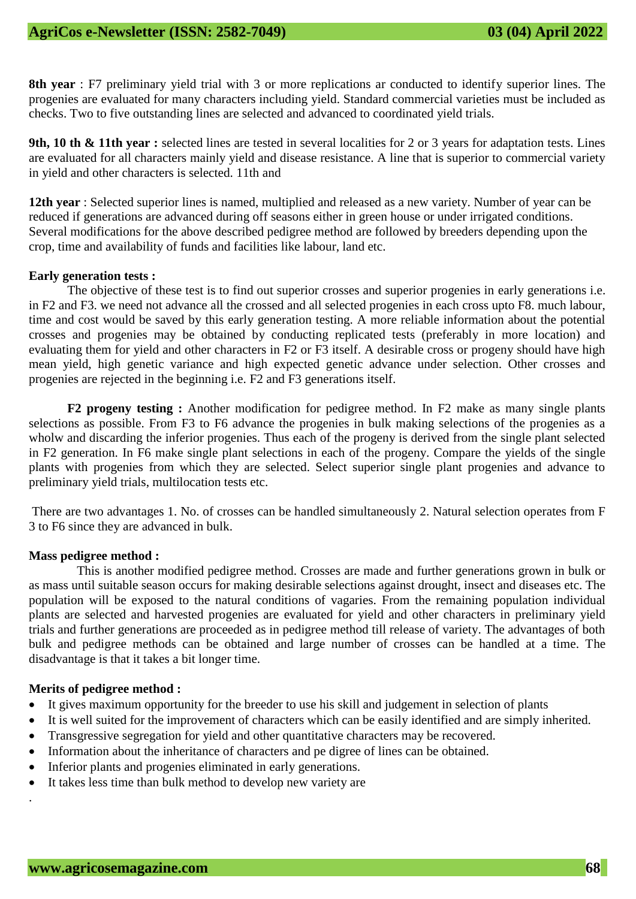**8th year** : F7 preliminary yield trial with 3 or more replications ar conducted to identify superior lines. The progenies are evaluated for many characters including yield. Standard commercial varieties must be included as checks. Two to five outstanding lines are selected and advanced to coordinated yield trials.

**9th, 10 th & 11th year :** selected lines are tested in several localities for 2 or 3 years for adaptation tests. Lines are evaluated for all characters mainly yield and disease resistance. A line that is superior to commercial variety in yield and other characters is selected. 11th and

**12th year** : Selected superior lines is named, multiplied and released as a new variety. Number of year can be reduced if generations are advanced during off seasons either in green house or under irrigated conditions. Several modifications for the above described pedigree method are followed by breeders depending upon the crop, time and availability of funds and facilities like labour, land etc.

#### **Early generation tests :**

The objective of these test is to find out superior crosses and superior progenies in early generations i.e. in F2 and F3. we need not advance all the crossed and all selected progenies in each cross upto F8. much labour, time and cost would be saved by this early generation testing. A more reliable information about the potential crosses and progenies may be obtained by conducting replicated tests (preferably in more location) and evaluating them for yield and other characters in F2 or F3 itself. A desirable cross or progeny should have high mean yield, high genetic variance and high expected genetic advance under selection. Other crosses and progenies are rejected in the beginning i.e. F2 and F3 generations itself.

**F2 progeny testing :** Another modification for pedigree method. In F2 make as many single plants selections as possible. From F3 to F6 advance the progenies in bulk making selections of the progenies as a wholw and discarding the inferior progenies. Thus each of the progeny is derived from the single plant selected in F2 generation. In F6 make single plant selections in each of the progeny. Compare the yields of the single plants with progenies from which they are selected. Select superior single plant progenies and advance to preliminary yield trials, multilocation tests etc.

There are two advantages 1. No. of crosses can be handled simultaneously 2. Natural selection operates from F 3 to F6 since they are advanced in bulk.

#### **Mass pedigree method :**

This is another modified pedigree method. Crosses are made and further generations grown in bulk or as mass until suitable season occurs for making desirable selections against drought, insect and diseases etc. The population will be exposed to the natural conditions of vagaries. From the remaining population individual plants are selected and harvested progenies are evaluated for yield and other characters in preliminary yield trials and further generations are proceeded as in pedigree method till release of variety. The advantages of both bulk and pedigree methods can be obtained and large number of crosses can be handled at a time. The disadvantage is that it takes a bit longer time.

#### **Merits of pedigree method :**

.

- It gives maximum opportunity for the breeder to use his skill and judgement in selection of plants
- It is well suited for the improvement of characters which can be easily identified and are simply inherited.
- Transgressive segregation for yield and other quantitative characters may be recovered.
- Information about the inheritance of characters and pe digree of lines can be obtained.
- Inferior plants and progenies eliminated in early generations.
- It takes less time than bulk method to develop new variety are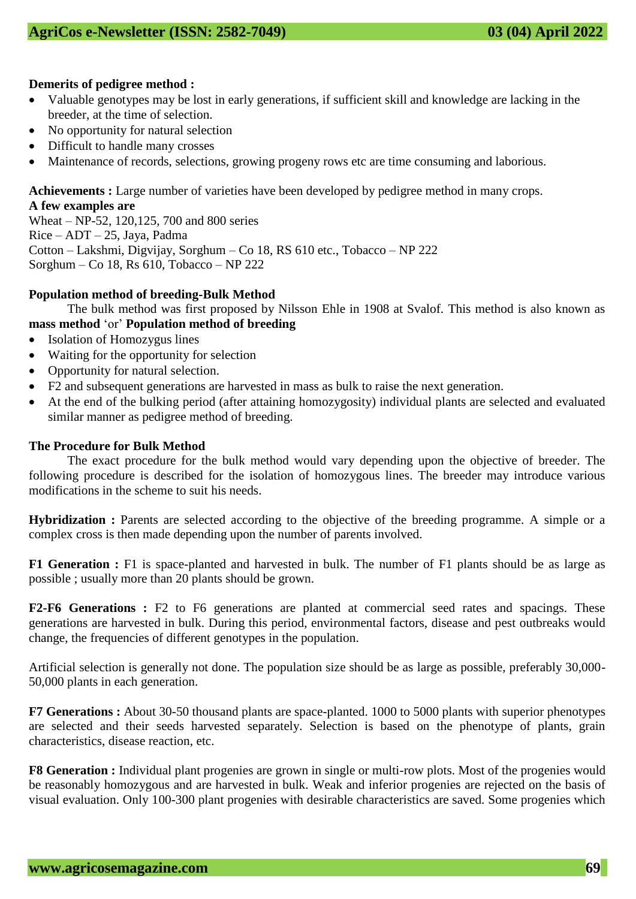# **Demerits of pedigree method :**

- Valuable genotypes may be lost in early generations, if sufficient skill and knowledge are lacking in the breeder, at the time of selection.
- No opportunity for natural selection
- Difficult to handle many crosses
- Maintenance of records, selections, growing progeny rows etc are time consuming and laborious.

#### **Achievements :** Large number of varieties have been developed by pedigree method in many crops. **A few examples are**

Wheat – NP-52, 120,125, 700 and 800 series Rice – ADT – 25, Jaya, Padma Cotton – Lakshmi, Digvijay, Sorghum – Co 18, RS 610 etc., Tobacco – NP 222 Sorghum – Co 18, Rs 610, Tobacco – NP 222

# **Population method of breeding-Bulk Method**

The bulk method was first proposed by Nilsson Ehle in 1908 at Svalof. This method is also known as **mass method** 'or' **Population method of breeding**

- Isolation of Homozygus lines
- Waiting for the opportunity for selection
- Opportunity for natural selection.
- F2 and subsequent generations are harvested in mass as bulk to raise the next generation.
- At the end of the bulking period (after attaining homozygosity) individual plants are selected and evaluated similar manner as pedigree method of breeding.

# **The Procedure for Bulk Method**

The exact procedure for the bulk method would vary depending upon the objective of breeder. The following procedure is described for the isolation of homozygous lines. The breeder may introduce various modifications in the scheme to suit his needs.

**Hybridization :** Parents are selected according to the objective of the breeding programme. A simple or a complex cross is then made depending upon the number of parents involved.

**F1 Generation :** F1 is space-planted and harvested in bulk. The number of F1 plants should be as large as possible ; usually more than 20 plants should be grown.

**F2-F6 Generations :** F2 to F6 generations are planted at commercial seed rates and spacings. These generations are harvested in bulk. During this period, environmental factors, disease and pest outbreaks would change, the frequencies of different genotypes in the population.

Artificial selection is generally not done. The population size should be as large as possible, preferably 30,000- 50,000 plants in each generation.

**F7 Generations :** About 30-50 thousand plants are space-planted. 1000 to 5000 plants with superior phenotypes are selected and their seeds harvested separately. Selection is based on the phenotype of plants, grain characteristics, disease reaction, etc.

**F8 Generation :** Individual plant progenies are grown in single or multi-row plots. Most of the progenies would be reasonably homozygous and are harvested in bulk. Weak and inferior progenies are rejected on the basis of visual evaluation. Only 100-300 plant progenies with desirable characteristics are saved. Some progenies which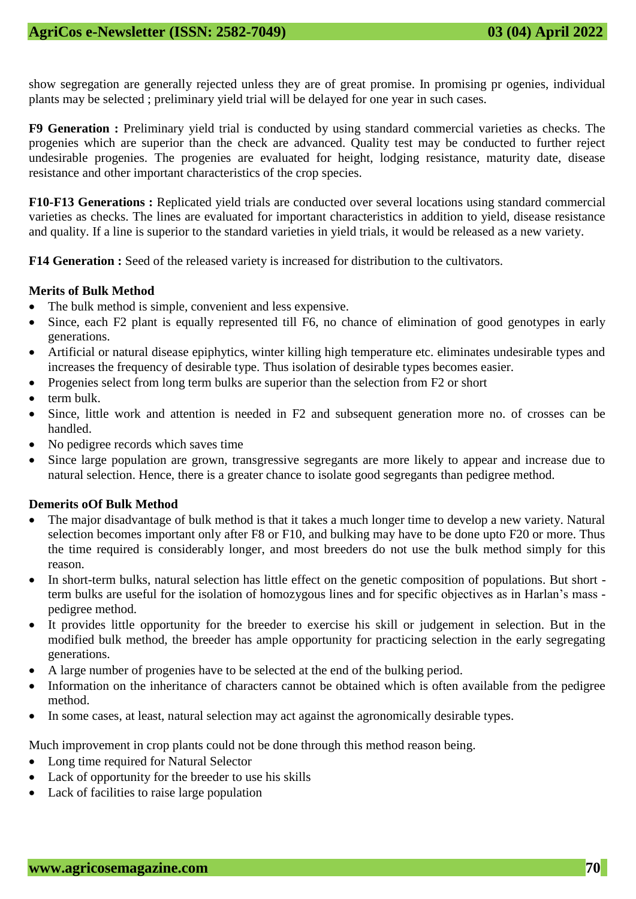show segregation are generally rejected unless they are of great promise. In promising pr ogenies, individual plants may be selected ; preliminary yield trial will be delayed for one year in such cases.

**F9 Generation :** Preliminary yield trial is conducted by using standard commercial varieties as checks. The progenies which are superior than the check are advanced. Quality test may be conducted to further reject undesirable progenies. The progenies are evaluated for height, lodging resistance, maturity date, disease resistance and other important characteristics of the crop species.

**F10-F13 Generations :** Replicated yield trials are conducted over several locations using standard commercial varieties as checks. The lines are evaluated for important characteristics in addition to yield, disease resistance and quality. If a line is superior to the standard varieties in yield trials, it would be released as a new variety.

**F14 Generation :** Seed of the released variety is increased for distribution to the cultivators.

#### **Merits of Bulk Method**

- The bulk method is simple, convenient and less expensive.
- Since, each F2 plant is equally represented till F6, no chance of elimination of good genotypes in early generations.
- Artificial or natural disease epiphytics, winter killing high temperature etc. eliminates undesirable types and increases the frequency of desirable type. Thus isolation of desirable types becomes easier.
- Progenies select from long term bulks are superior than the selection from F2 or short
- $\bullet$  term bulk.
- Since, little work and attention is needed in F2 and subsequent generation more no. of crosses can be handled.
- No pedigree records which saves time
- Since large population are grown, transgressive segregants are more likely to appear and increase due to natural selection. Hence, there is a greater chance to isolate good segregants than pedigree method.

#### **Demerits oOf Bulk Method**

- The major disadvantage of bulk method is that it takes a much longer time to develop a new variety. Natural selection becomes important only after F8 or F10, and bulking may have to be done upto F20 or more. Thus the time required is considerably longer, and most breeders do not use the bulk method simply for this reason.
- In short-term bulks, natural selection has little effect on the genetic composition of populations. But short term bulks are useful for the isolation of homozygous lines and for specific objectives as in Harlan's mass pedigree method.
- It provides little opportunity for the breeder to exercise his skill or judgement in selection. But in the modified bulk method, the breeder has ample opportunity for practicing selection in the early segregating generations.
- A large number of progenies have to be selected at the end of the bulking period.
- Information on the inheritance of characters cannot be obtained which is often available from the pedigree method.
- In some cases, at least, natural selection may act against the agronomically desirable types.

Much improvement in crop plants could not be done through this method reason being.

- Long time required for Natural Selector
- Lack of opportunity for the breeder to use his skills
- Lack of facilities to raise large population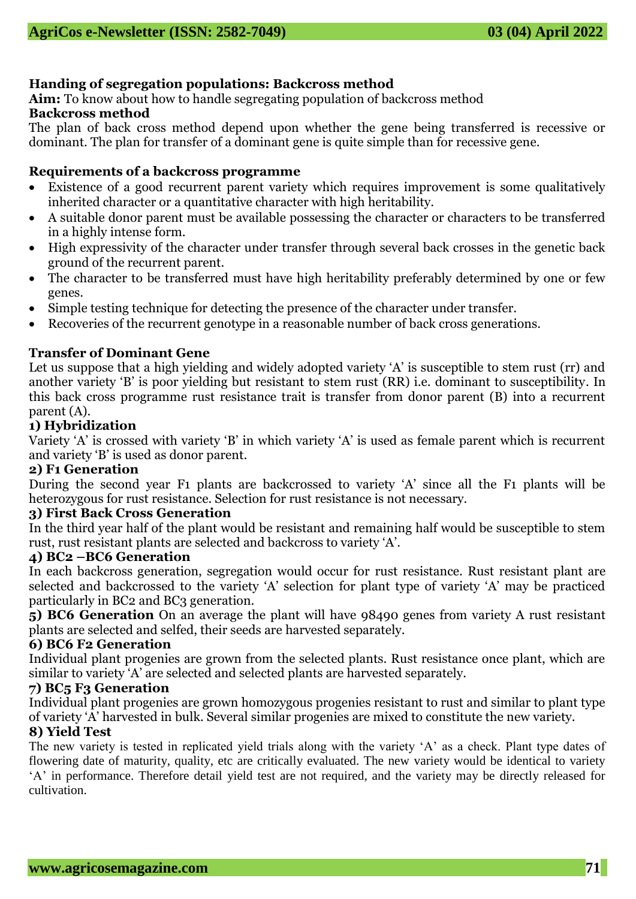# **Handing of segregation populations: Backcross method**

**Aim:** To know about how to handle segregating population of backcross method **Backcross method** 

The plan of back cross method depend upon whether the gene being transferred is recessive or dominant. The plan for transfer of a dominant gene is quite simple than for recessive gene.

#### **Requirements of a backcross programme**

- Existence of a good recurrent parent variety which requires improvement is some qualitatively inherited character or a quantitative character with high heritability.
- A suitable donor parent must be available possessing the character or characters to be transferred in a highly intense form.
- High expressivity of the character under transfer through several back crosses in the genetic back ground of the recurrent parent.
- The character to be transferred must have high heritability preferably determined by one or few genes.
- Simple testing technique for detecting the presence of the character under transfer.
- Recoveries of the recurrent genotype in a reasonable number of back cross generations.

# **Transfer of Dominant Gene**

Let us suppose that a high yielding and widely adopted variety 'A' is susceptible to stem rust (rr) and another variety 'B' is poor yielding but resistant to stem rust (RR) i.e. dominant to susceptibility. In this back cross programme rust resistance trait is transfer from donor parent (B) into a recurrent parent (A).

#### **1) Hybridization**

Variety 'A' is crossed with variety 'B' in which variety 'A' is used as female parent which is recurrent and variety 'B' is used as donor parent.

#### **2) F1 Generation**

During the second year F1 plants are backcrossed to variety 'A' since all the F1 plants will be heterozygous for rust resistance. Selection for rust resistance is not necessary.

#### **3) First Back Cross Generation**

In the third year half of the plant would be resistant and remaining half would be susceptible to stem rust, rust resistant plants are selected and backcross to variety 'A'.

# **4) BC2 –BC6 Generation**

In each backcross generation, segregation would occur for rust resistance. Rust resistant plant are selected and backcrossed to the variety 'A' selection for plant type of variety 'A' may be practiced particularly in BC2 and BC3 generation.

**5) BC6 Generation** On an average the plant will have 98490 genes from variety A rust resistant plants are selected and selfed, their seeds are harvested separately.

#### **6) BC6 F2 Generation**

Individual plant progenies are grown from the selected plants. Rust resistance once plant, which are similar to variety 'A' are selected and selected plants are harvested separately.

# **7) BC5 F3 Generation**

Individual plant progenies are grown homozygous progenies resistant to rust and similar to plant type of variety 'A' harvested in bulk. Several similar progenies are mixed to constitute the new variety.

# **8) Yield Test**

The new variety is tested in replicated yield trials along with the variety 'A' as a check. Plant type dates of flowering date of maturity, quality, etc are critically evaluated. The new variety would be identical to variety 'A' in performance. Therefore detail yield test are not required, and the variety may be directly released for cultivation.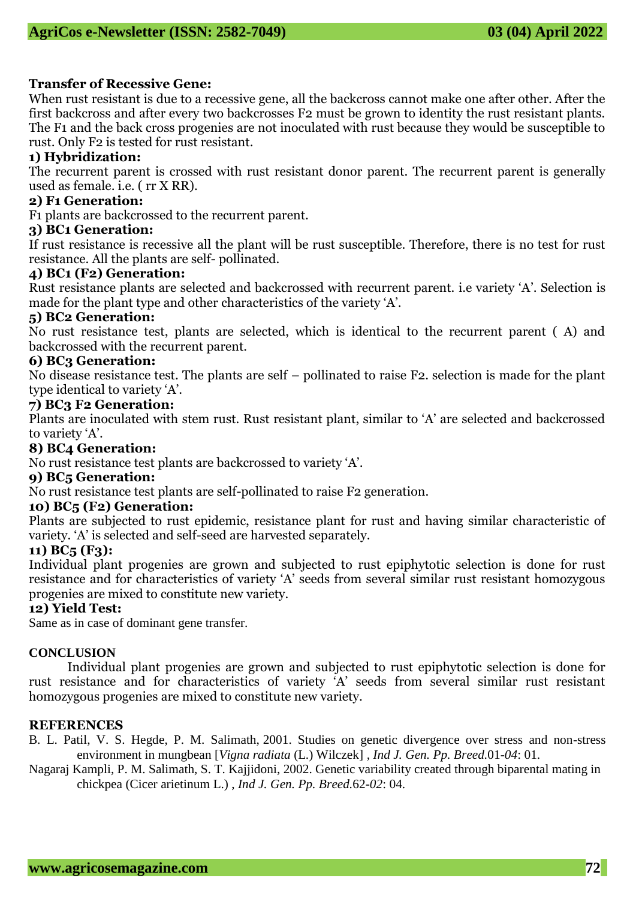# **Transfer of Recessive Gene:**

When rust resistant is due to a recessive gene, all the backcross cannot make one after other. After the first backcross and after every two backcrosses F2 must be grown to identity the rust resistant plants. The F1 and the back cross progenies are not inoculated with rust because they would be susceptible to rust. Only F2 is tested for rust resistant.

# **1) Hybridization:**

The recurrent parent is crossed with rust resistant donor parent. The recurrent parent is generally used as female. i.e. ( rr X RR).

# **2) F1 Generation:**

F1 plants are backcrossed to the recurrent parent.

# **3) BC1 Generation:**

If rust resistance is recessive all the plant will be rust susceptible. Therefore, there is no test for rust resistance. All the plants are self- pollinated.

#### **4) BC1 (F2) Generation:**

Rust resistance plants are selected and backcrossed with recurrent parent. i.e variety 'A'. Selection is made for the plant type and other characteristics of the variety 'A'.

# **5) BC2 Generation:**

No rust resistance test, plants are selected, which is identical to the recurrent parent ( A) and backcrossed with the recurrent parent.

# **6) BC3 Generation:**

No disease resistance test. The plants are self – pollinated to raise F2. selection is made for the plant type identical to variety 'A'.

#### **7) BC3 F2 Generation:**

Plants are inoculated with stem rust. Rust resistant plant, similar to 'A' are selected and backcrossed to variety 'A'.

#### **8) BC4 Generation:**

No rust resistance test plants are backcrossed to variety 'A'.

# **9) BC5 Generation:**

No rust resistance test plants are self-pollinated to raise F2 generation.

# **10) BC5 (F2) Generation:**

Plants are subjected to rust epidemic, resistance plant for rust and having similar characteristic of variety. 'A' is selected and self-seed are harvested separately.

# **11) BC5 (F3):**

Individual plant progenies are grown and subjected to rust epiphytotic selection is done for rust resistance and for characteristics of variety 'A' seeds from several similar rust resistant homozygous progenies are mixed to constitute new variety.

# **12) Yield Test:**

Same as in case of dominant gene transfer.

# **CONCLUSION**

Individual plant progenies are grown and subjected to rust epiphytotic selection is done for rust resistance and for characteristics of variety 'A' seeds from several similar rust resistant homozygous progenies are mixed to constitute new variety.

#### **REFERENCES**

B. L. Patil, V. S. Hegde, P. M. Salimath, 2001. Studies on genetic divergence over stress and non-stress environment in mungbean [*Vigna radiata* (L.) Wilczek] *, Ind J. Gen. Pp. Breed.*01-*04*: 01.

Nagaraj Kampli, P. M. Salimath, S. T. Kajjidoni, 2002. [Genetic variability created through biparental mating in](https://www.isgpb.org/journal/index.php/IJGPB/article/view/1856)  [chickpea \(Cicer arietinum L.\)](https://www.isgpb.org/journal/index.php/IJGPB/article/view/1856) , *Ind J. Gen. Pp. Breed.*62-*02*: 04.